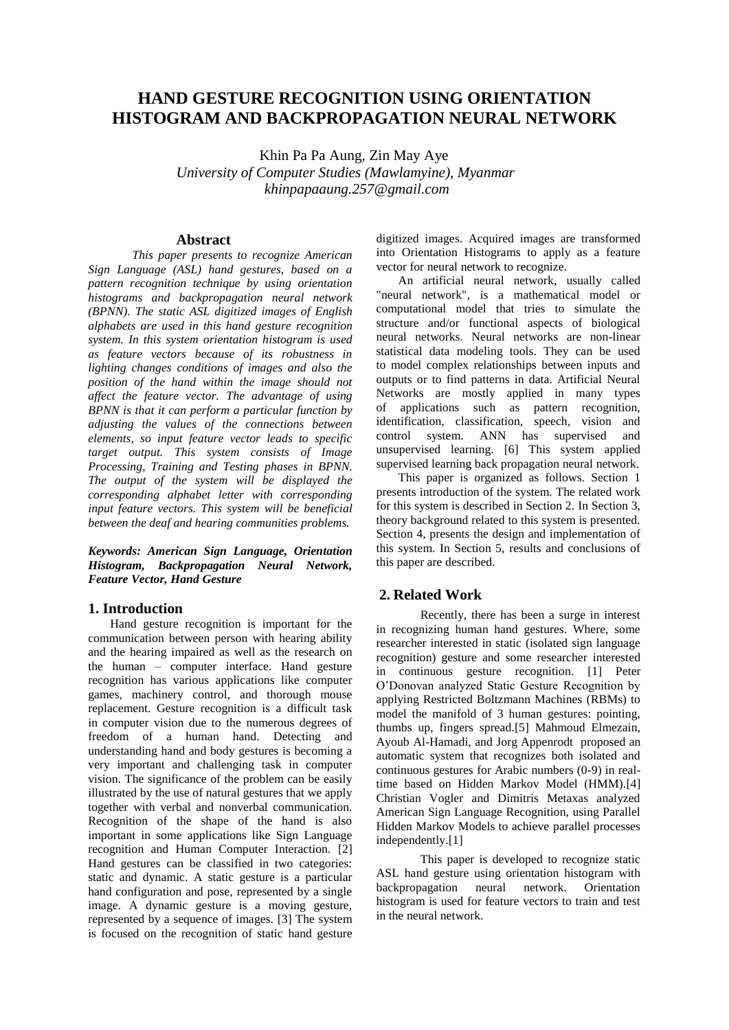# **HAND GESTURE RECOGNITION USING ORIENTATION HISTOGRAM AND BACKPROPAGATION NEURAL NETWORK**

Khin Pa Pa Aung, Zin May Aye *University of Computer Studies (Mawlamyine), Myanmar khinpapaaung.257@gmail.com*

## **Abstract**

*This paper presents to recognize American Sign Language (ASL) hand gestures, based on a pattern recognition technique by using orientation histograms and backpropagation neural network (BPNN). The static ASL digitized images of English alphabets are used in this hand gesture recognition system. In this system orientation histogram is used as feature vectors because of its robustness in lighting changes conditions of images and also the position of the hand within the image should not affect the feature vector. The advantage of using BPNN is that it can perform a particular function by adjusting the values of the connections between elements, so input feature vector leads to specific target output. This system consists of Image Processing, Training and Testing phases in BPNN. The output of the system will be displayed the corresponding alphabet letter with corresponding input feature vectors. This system will be beneficial between the deaf and hearing communities problems.*

*Keywords: American Sign Language, Orientation Histogram, Backpropagation Neural Network, Feature Vector, Hand Gesture*

# **1. Introduction**

Hand gesture recognition is important for the communication between person with hearing ability and the hearing impaired as well as the research on the human – computer interface. Hand gesture recognition has various applications like computer games, machinery control, and thorough mouse replacement. Gesture recognition is a difficult task in computer vision due to the numerous degrees of freedom of a human hand. Detecting and understanding hand and body gestures is becoming a very important and challenging task in computer vision. The significance of the problem can be easily illustrated by the use of natural gestures that we apply together with verbal and nonverbal communication. Recognition of the shape of the hand is also important in some applications like Sign Language recognition and Human Computer Interaction. [2] Hand gestures can be classified in two categories: static and dynamic. A static gesture is a particular hand configuration and pose, represented by a single image. A dynamic gesture is a moving gesture, represented by a sequence of images. [3] The system is focused on the recognition of static hand gesture

digitized images. Acquired images are transformed into Orientation Histograms to apply as a feature vector for neural network to recognize.

An artificial neural network, usually called "neural network", is a mathematical model or computational model that tries to simulate the structure and/or functional aspects of biological neural networks. Neural networks are non-linear statistical data modeling tools. They can be used to model complex relationships between inputs and outputs or to find patterns in data. Artificial Neural Networks are mostly applied in many types of applications such as pattern recognition, identification, classification, speech, vision and control system. ANN has supervised and unsupervised learning. [6] This system applied supervised learning back propagation neural network.

This paper is organized as follows. Section 1 presents introduction of the system. The related work for this system is described in Section 2. In Section 3, theory background related to this system is presented. Section 4, presents the design and implementation of this system. In Section 5, results and conclusions of this paper are described.

# **2. Related Work**

Recently, there has been a surge in interest in recognizing human hand gestures. Where, some researcher interested in static (isolated sign language recognition) gesture and some researcher interested in continuous gesture recognition. [1] Peter O'Donovan analyzed Static Gesture Recognition by applying Restricted Boltzmann Machines (RBMs) to model the manifold of 3 human gestures: pointing, thumbs up, fingers spread.[5] Mahmoud Elmezain, Ayoub Al-Hamadi, and Jorg Appenrodt proposed an automatic system that recognizes both isolated and continuous gestures for Arabic numbers (0-9) in realtime based on Hidden Markov Model (HMM).[4] Christian Vogler and Dimitris Metaxas analyzed American Sign Language Recognition, using Parallel Hidden Markov Models to achieve parallel processes independently.[1]

This paper is developed to recognize static ASL hand gesture using orientation histogram with<br>backpropagation neural network. Orientation backpropagation neural network. Orientation histogram is used for feature vectors to train and test in the neural network.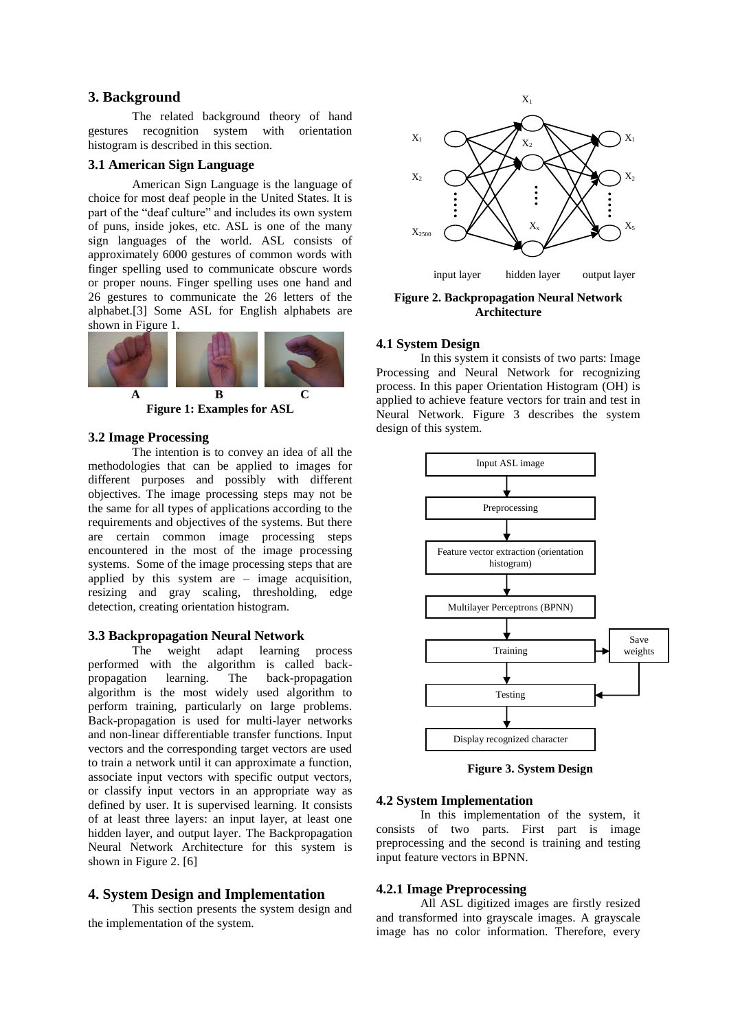# **3. Background**

The related background theory of hand gestures recognition system with orientation histogram is described in this section.

# **3.1 American Sign Language**

American Sign Language is the language of choice for most deaf people in the United States. It is part of the "deaf culture" and includes its own system of puns, inside jokes, etc. ASL is one of the many sign languages of the world. ASL consists of approximately 6000 gestures of common words with finger spelling used to communicate obscure words or proper nouns. Finger spelling uses one hand and 26 gestures to communicate the 26 letters of the alphabet.[3] Some ASL for English alphabets are shown in Figure 1.



**Figure 1: Examples for ASL**

# **3.2 Image Processing**

The intention is to convey an idea of all the methodologies that can be applied to images for different purposes and possibly with different objectives. The image processing steps may not be the same for all types of applications according to the requirements and objectives of the systems. But there are certain common image processing steps encountered in the most of the image processing systems. Some of the image processing steps that are applied by this system are – image acquisition, resizing and gray scaling, thresholding, edge detection, creating orientation histogram.

# **3.3 Backpropagation Neural Network**

weight adapt learning process performed with the algorithm is called back-<br>propagation learning. The back-propagation propagation learning. The back-propagation algorithm is the most widely used algorithm to perform training, particularly on large problems. Back-propagation is used for multi-layer networks and non-linear differentiable transfer functions. Input vectors and the corresponding target vectors are used to train a network until it can approximate a function, associate input vectors with specific output vectors, or classify input vectors in an appropriate way as defined by user. It is supervised learning. It consists of at least three layers: an input layer, at least one hidden layer, and output layer. The Backpropagation Neural Network Architecture for this system is shown in Figure 2. [6]

## **4. System Design and Implementation**

This section presents the system design and the implementation of the system.



**Figure 2. Backpropagation Neural Network Architecture**

# **4.1 System Design**

In this system it consists of two parts: Image Processing and Neural Network for recognizing process. In this paper Orientation Histogram (OH) is applied to achieve feature vectors for train and test in Neural Network. Figure 3 describes the system design of this system.



**Figure 3. System Design**

# **4.2 System Implementation**

In this implementation of the system, it consists of two parts. First part is image preprocessing and the second is training and testing input feature vectors in BPNN.

#### **4.2.1 Image Preprocessing**

All ASL digitized images are firstly resized and transformed into grayscale images. A grayscale image has no color information. Therefore, every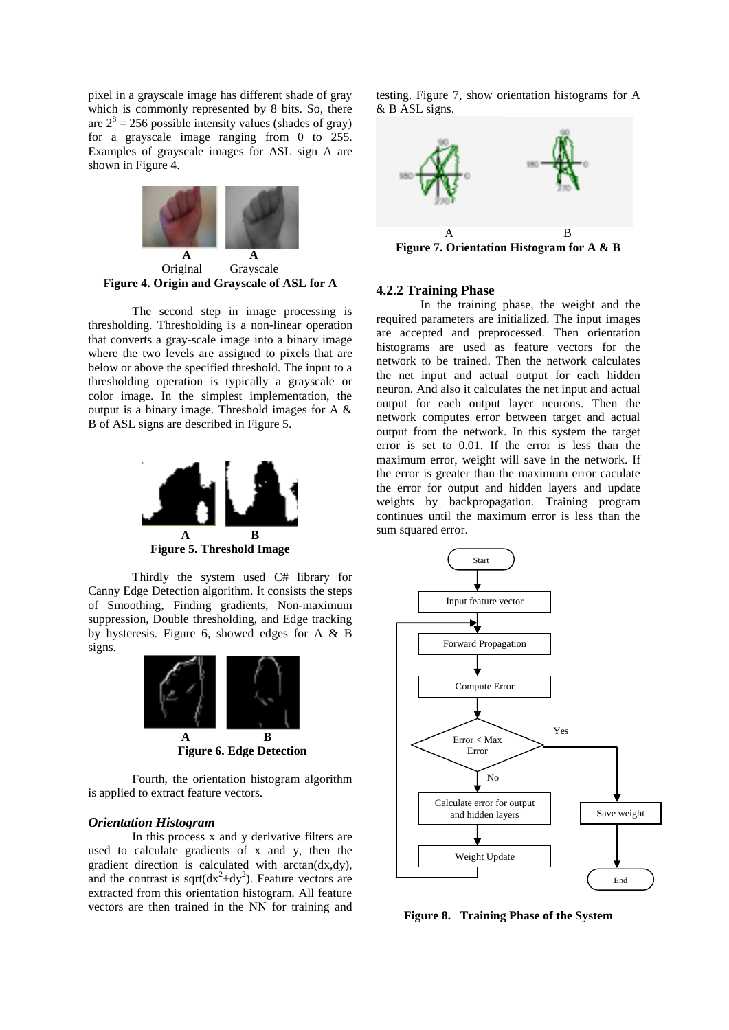pixel in a grayscale image has different shade of gray which is commonly represented by 8 bits. So, there are  $2^8 = 256$  possible intensity values (shades of gray) for a grayscale image ranging from 0 to 255. Examples of grayscale images for ASL sign A are shown in Figure 4.



**Figure 4. Origin and Grayscale of ASL for A**

The second step in image processing is thresholding. Thresholding is a non-linear operation that converts a gray-scale image into a binary image where the two levels are assigned to pixels that are below or above the specified threshold. The input to a thresholding operation is typically a grayscale or color image. In the simplest implementation, the output is a binary image. Threshold images for A & B of ASL signs are described in Figure 5.



**Figure 5. Threshold Image**

Thirdly the system used C# library for Canny Edge Detection algorithm. It consists the steps of Smoothing, Finding gradients, Non-maximum suppression, Double thresholding, and Edge tracking by hysteresis. Figure 6, showed edges for A & B signs.



Fourth, the orientation histogram algorithm is applied to extract feature vectors.

#### *Orientation Histogram*

In this process x and y derivative filters are used to calculate gradients of x and y, then the gradient direction is calculated with arctan(dx,dy), and the contrast is sqrt $(dx^2+dy^2)$ . Feature vectors are extracted from this orientation histogram. All feature vectors are then trained in the NN for training and

testing. Figure 7, show orientation histograms for A & B ASL signs.



#### **4.2.2 Training Phase**

In the training phase, the weight and the required parameters are initialized. The input images are accepted and preprocessed. Then orientation histograms are used as feature vectors for the network to be trained. Then the network calculates the net input and actual output for each hidden neuron. And also it calculates the net input and actual output for each output layer neurons. Then the network computes error between target and actual output from the network. In this system the target error is set to 0.01. If the error is less than the maximum error, weight will save in the network. If the error is greater than the maximum error caculate the error for output and hidden layers and update weights by backpropagation. Training program continues until the maximum error is less than the sum squared error.



**Figure 8. Training Phase of the System**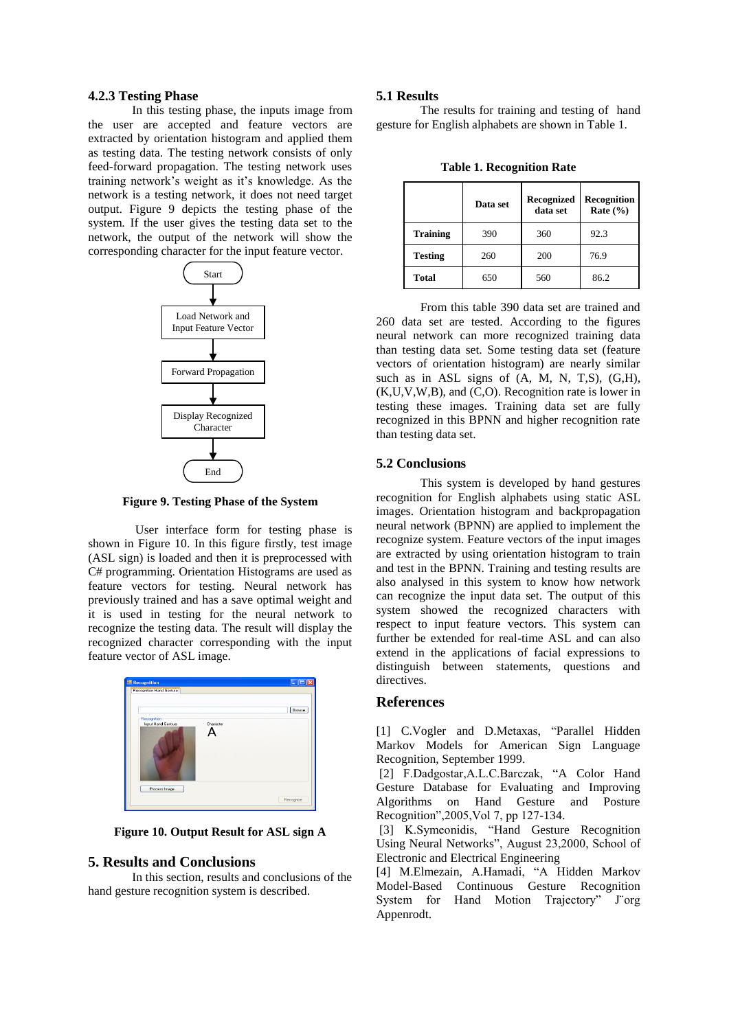#### **4.2.3 Testing Phase**

In this testing phase, the inputs image from the user are accepted and feature vectors are extracted by orientation histogram and applied them as testing data. The testing network consists of only feed-forward propagation. The testing network uses training network's weight as it's knowledge. As the network is a testing network, it does not need target output. Figure 9 depicts the testing phase of the system. If the user gives the testing data set to the network, the output of the network will show the corresponding character for the input feature vector.



**Figure 9. Testing Phase of the System**

User interface form for testing phase is shown in Figure 10. In this figure firstly, test image (ASL sign) is loaded and then it is preprocessed with C# programming. Orientation Histograms are used as feature vectors for testing. Neural network has previously trained and has a save optimal weight and it is used in testing for the neural network to recognize the testing data. The result will display the recognized character corresponding with the input feature vector of ASL image.



**Figure 10. Output Result for ASL sign A**

### **5. Results and Conclusions**

In this section, results and conclusions of the hand gesture recognition system is described.

#### **5.1 Results**

The results for training and testing of hand gesture for English alphabets are shown in Table 1.

**Table 1. Recognition Rate**

|                 | Data set | Recognized<br>data set | Recognition<br>Rate $(\% )$ |
|-----------------|----------|------------------------|-----------------------------|
| <b>Training</b> | 390      | 360                    | 92.3                        |
| <b>Testing</b>  | 260      | 200                    | 76.9                        |
| <b>Total</b>    | 650      | 560                    | 86.2                        |

From this table 390 data set are trained and 260 data set are tested. According to the figures neural network can more recognized training data than testing data set. Some testing data set (feature vectors of orientation histogram) are nearly similar such as in ASL signs of  $(A, M, N, T,S)$ ,  $(G,H)$ , (K,U,V,W,B), and (C,O). Recognition rate is lower in testing these images. Training data set are fully recognized in this BPNN and higher recognition rate than testing data set.

#### **5.2 Conclusions**

This system is developed by hand gestures recognition for English alphabets using static ASL images. Orientation histogram and backpropagation neural network (BPNN) are applied to implement the recognize system. Feature vectors of the input images are extracted by using orientation histogram to train and test in the BPNN. Training and testing results are also analysed in this system to know how network can recognize the input data set. The output of this system showed the recognized characters with respect to input feature vectors. This system can further be extended for real-time ASL and can also extend in the applications of facial expressions to distinguish between statements, questions and directives.

# **References**

[1] C.Vogler and D.Metaxas, "Parallel Hidden Markov Models for American Sign Language Recognition, September 1999.

[2] F.Dadgostar,A.L.C.Barczak, "A Color Hand Gesture Database for Evaluating and Improving Algorithms on Hand Gesture and Posture Recognition",2005,Vol 7, pp 127-134.

[3] K.Symeonidis, "Hand Gesture Recognition Using Neural Networks", August 23,2000, School of Electronic and Electrical Engineering

[4] M.Elmezain, A.Hamadi, "A Hidden Markov Model-Based Continuous Gesture Recognition System for Hand Motion Trajectory" J¨org Appenrodt.